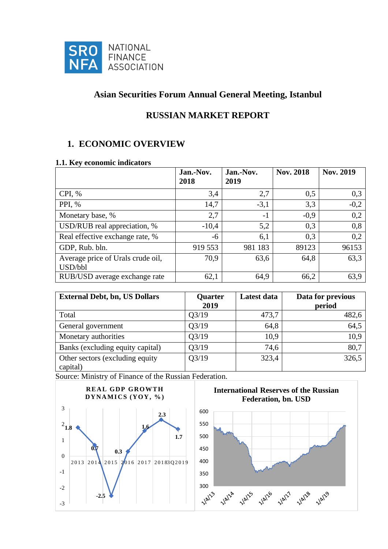

# **Asian Securities Forum Annual General Meeting, Istanbul**

# **RUSSIAN MARKET REPORT**

# **1. ECONOMIC OVERVIEW**

### **1.1. Key economic indicators**

|                                              | Jan.-Nov.<br>2018 | Jan.-Nov.<br>2019 | <b>Nov. 2018</b> | Nov. 2019 |
|----------------------------------------------|-------------------|-------------------|------------------|-----------|
| CPI, %                                       | 3,4               | 2,7               | 0,5              | 0,3       |
| PPI, %                                       | 14,7              | $-3,1$            | 3,3              | $-0,2$    |
| Monetary base, %                             | 2,7               | $-1$              | $-0,9$           | 0,2       |
| USD/RUB real appreciation, %                 | $-10,4$           | 5,2               | 0,3              | 0,8       |
| Real effective exchange rate, %              | -6                | 6,1               | 0,3              | 0,2       |
| GDP, Rub. bln.                               | 919 553           | 981 183           | 89123            | 96153     |
| Average price of Urals crude oil,<br>USD/bbl | 70,9              | 63,6              | 64,8             | 63,3      |
| RUB/USD average exchange rate                | 62,1              | 64,9              | 66,2             | 63,9      |

| <b>External Debt, bn, US Dollars</b>         | Quarter<br>2019 | Latest data | Data for previous<br>period |
|----------------------------------------------|-----------------|-------------|-----------------------------|
| Total                                        | Q3/19           | 473,7       | 482,6                       |
| General government                           | Q3/19           | 64,8        | 64,5                        |
| Monetary authorities                         | Q3/19           | 10,9        | 10,9                        |
| Banks (excluding equity capital)             | Q3/19           | 74,6        | 80,7                        |
| Other sectors (excluding equity)<br>capital) | Q3/19           | 323,4       | 326,5                       |

Source: Ministry of Finance of the Russian Federation.



**International Reserves of the Russian Federation, bn. USD**

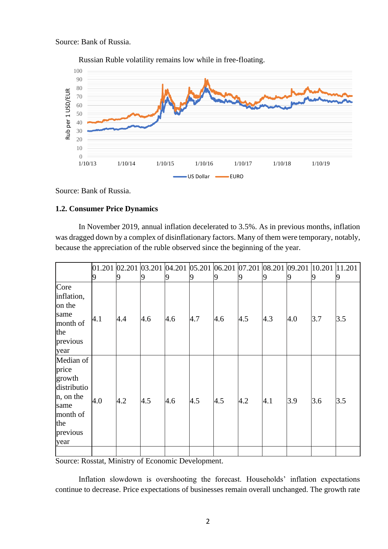Source: Bank of Russia.



Russian Ruble volatility remains low while in free-floating.

Source: Bank of Russia.

### **1.2. Consumer Price Dynamics**

In November 2019, annual inflation decelerated to 3.5%. As in previous months, inflation was dragged down by a complex of disinflationary factors. Many of them were temporary, notably, because the appreciation of the ruble observed since the beginning of the year.

|                                                                                                         | 9   | 9   | 9             | 19  | 19  | 19            | $[01.201 \, 02.201 \, 03.201 \, 04.201 \, 05.201 \, 06.201 \, 07.201 \, 08.201 \, 09.201 \, 10.201 \, 1]$<br>9 | 9   | 9   | 9   | 11.201<br>9 |
|---------------------------------------------------------------------------------------------------------|-----|-----|---------------|-----|-----|---------------|----------------------------------------------------------------------------------------------------------------|-----|-----|-----|-------------|
| Core<br>inflation,<br>on the<br>same<br>month of<br>the<br>previous<br>year                             | 4.1 | 4.4 | $ 4.6\rangle$ | 4.6 | 4.7 | $ 4.6\rangle$ | $ 4.5\rangle$                                                                                                  | 4.3 | 4.0 | 3.7 | 3.5         |
| Median of<br>price<br>growth<br>distributio<br>n, on the<br>same<br>month of<br>the<br>previous<br>year | 4.0 | 4.2 | 4.5           | 4.6 | 4.5 | $ 4.5\rangle$ | 4.2                                                                                                            | 4.1 | 3.9 | 3.6 | 3.5         |

Source: Rosstat, Ministry of Economic Development.

Inflation slowdown is overshooting the forecast. Households' inflation expectations continue to decrease. Price expectations of businesses remain overall unchanged. The growth rate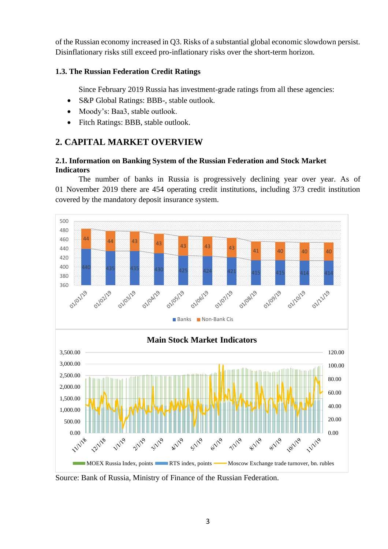of the Russian economy increased in Q3. Risks of a substantial global economic slowdown persist. Disinflationary risks still exceed pro-inflationary risks over the short-term horizon.

## **1.3. The Russian Federation Credit Ratings**

Since February 2019 Russia has investment-grade ratings from all these agencies:

- S&P Global Ratings: BBB-, stable outlook.
- Moody's: Baa3, stable outlook.
- Fitch Ratings: BBB, stable outlook.

# **2. CAPITAL MARKET OVERVIEW**

## **2.1. Information on Banking System of the Russian Federation and Stock Market Indicators**

The number of banks in Russia is progressively declining year over year. As of 01 November 2019 there are 454 operating credit institutions, including 373 credit institution covered by the mandatory deposit insurance system.



Source: Bank of Russia, Ministry of Finance of the Russian Federation.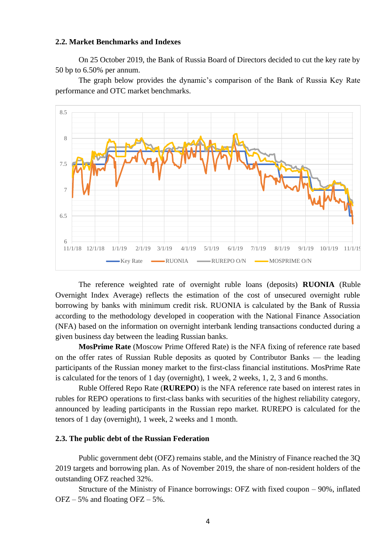#### **2.2. Market Benchmarks and Indexes**

On 25 October 2019, the Bank of Russia Board of Directors decided to cut the key rate by 50 bp to 6.50% per annum.

The graph below provides the dynamic's comparison of the Bank of Russia Key Rate performance and OTC market benchmarks.



The reference weighted rate of overnight ruble loans (deposits) **RUONIA** (Ruble Overnight Index Average) reflects the estimation of the cost of unsecured overnight ruble borrowing by banks with minimum credit risk. RUONIA is calculated by the Bank of Russia according to the methodology developed in cooperation with the National Finance Association (NFA) based on the information on overnight interbank lending transactions conducted during a given business day between the leading Russian banks.

**MosPrime Rate** (Moscow Prime Offered Rate) is the NFA fixing of reference rate based on the offer rates of Russian Ruble deposits as quoted by Contributor Banks — the leading participants of the Russian money market to the first-class financial institutions. MosPrime Rate is calculated for the tenors of 1 day (overnight), 1 week, 2 weeks, 1, 2, 3 and 6 months.

Ruble Offered Repo Rate (**RUREPO**) is the NFA reference rate based on interest rates in rubles for REPO operations to first-class banks with securities of the highest reliability category, announced by leading participants in the Russian repo market. RUREPO is calculated for the tenors of 1 day (overnight), 1 week, 2 weeks and 1 month.

#### **2.3. The public debt of the Russian Federation**

Public government debt (OFZ) remains stable, and the Ministry of Finance reached the 3Q 2019 targets and borrowing plan. As of November 2019, the share of non-resident holders of the outstanding OFZ reached 32%.

Structure of the Ministry of Finance borrowings: OFZ with fixed coupon – 90%, inflated  $OFZ - 5%$  and floating  $OFZ - 5%$ .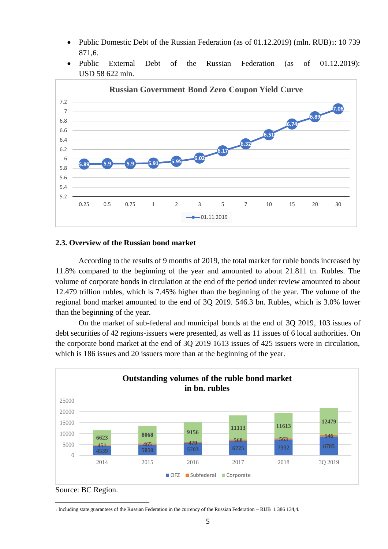- Public Domestic Debt of the Russian Federation (as of 01.12.2019) (mln. RUB)<sub>1</sub>: 10 739 871,6.
- Public External Debt of the Russian Federation (as of 01.12.2019): USD 58 622 mln.



### **2.3. Overview of the Russian bond market**

According to the results of 9 months of 2019, the total market for ruble bonds increased by 11.8% compared to the beginning of the year and amounted to about 21.811 tn. Rubles. The volume of corporate bonds in circulation at the end of the period under review amounted to about 12.479 trillion rubles, which is 7.45% higher than the beginning of the year. The volume of the regional bond market amounted to the end of 3Q 2019. 546.3 bn. Rubles, which is 3.0% lower than the beginning of the year.

On the market of sub-federal and municipal bonds at the end of 3Q 2019, 103 issues of debt securities of 42 regions-issuers were presented, as well as 11 issues of 6 local authorities. On the corporate bond market at the end of 3Q 2019 1613 issues of 425 issuers were in circulation, which is 186 issues and 20 issuers more than at the beginning of the year.



Source: BC Region.

<sup>1</sup> Including state guarantees of the Russian Federation in the currency of the Russian Federation – RUB 1 386 134,4.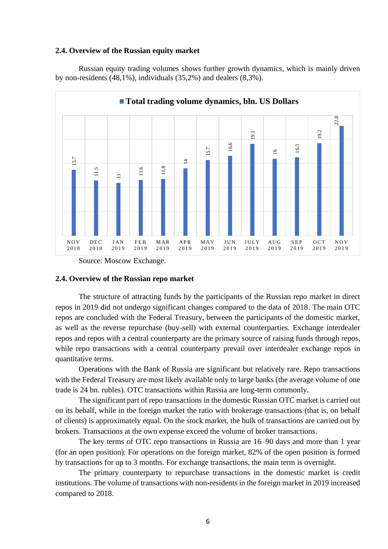#### **2.4. Overview of the Russian equity market**

Russian equity trading volumes shows further growth dynamics, which is mainly driven by non-residents (48,1%), individuals (35,2%) and dealers (8,3%).



Source: Moscow Exchange.

#### **2.4. Overview of the Russian repo market**

The structure of attracting funds by the participants of the Russian repo market in direct repos in 2019 did not undergo significant changes compared to the data of 2018. The main OTC repos are concluded with the Federal Treasury, between the participants of the domestic market, as well as the reverse repurchase (buy-sell) with external counterparties. Exchange interdealer repos and repos with a central counterparty are the primary source of raising funds through repos, while repo transactions with a central counterparty prevail over interdealer exchange repos in quantitative terms.

Operations with the Bank of Russia are significant but relatively rare. Repo transactions with the Federal Treasury are most likely available only to large banks (the average volume of one trade is 24 bn. rubles). OTC transactions within Russia are long-term commonly.

The significant part of repo transactions in the domestic Russian OTC market is carried out on its behalf, while in the foreign market the ratio with brokerage transactions (that is, on behalf of clients) is approximately equal. On the stock market, the bulk of transactions are carried out by brokers. Transactions at the own expense exceed the volume of broker transactions.

The key terms of OTC repo transactions in Russia are 16–90 days and more than 1 year (for an open position). For operations on the foreign market, 82% of the open position is formed by transactions for up to 3 months. For exchange transactions, the main term is overnight.

The primary counterparty to repurchase transactions in the domestic market is credit institutions. The volume of transactions with non-residents in the foreign market in 2019 increased compared to 2018.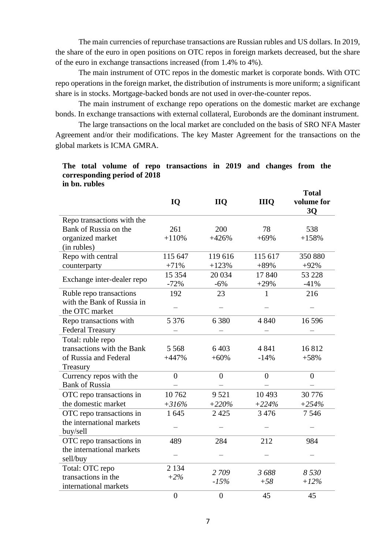The main currencies of repurchase transactions are Russian rubles and US dollars. In 2019, the share of the euro in open positions on OTC repos in foreign markets decreased, but the share of the euro in exchange transactions increased (from 1.4% to 4%).

The main instrument of OTC repos in the domestic market is corporate bonds. With OTC repo operations in the foreign market, the distribution of instruments is more uniform; a significant share is in stocks. Mortgage-backed bonds are not used in over-the-counter repos.

The main instrument of exchange repo operations on the domestic market are exchange bonds. In exchange transactions with external collateral, Eurobonds are the dominant instrument.

The large transactions on the local market are concluded on the basis of SRO NFA Master Agreement and/or their modifications. The key Master Agreement for the transactions on the global markets is ICMA GMRA.

### **The total volume of repo transactions in 2019 and changes from the corresponding period of 2018 in bn. rubles**

|                            | IQ             | <b>IIQ</b>     | <b>IIIO</b>  | <b>Total</b><br>volume for<br>3Q |
|----------------------------|----------------|----------------|--------------|----------------------------------|
| Repo transactions with the |                |                |              |                                  |
| Bank of Russia on the      | 261            | 200            | 78           | 538                              |
| organized market           | $+110%$        | $+426%$        | $+69%$       | $+158%$                          |
| (in rubles)                |                |                |              |                                  |
| Repo with central          | 115 647        | 119 616        | 115 617      | 350 880                          |
| counterparty               | $+71%$         | $+123%$        | $+89%$       | $+92%$                           |
|                            | 15 354         | 20 034         | 17840        | 53 228                           |
| Exchange inter-dealer repo | $-72%$         | $-6%$          | $+29%$       | $-41%$                           |
| Ruble repo transactions    | 192            | 23             | $\mathbf{1}$ | 216                              |
| with the Bank of Russia in |                |                |              |                                  |
| the OTC market             |                |                |              |                                  |
| Repo transactions with     | 5 3 7 6        | 6 3 8 0        | 4 8 4 0      | 16 5 9 6                         |
| <b>Federal Treasury</b>    |                |                |              |                                  |
| Total: ruble repo          |                |                |              |                                  |
| transactions with the Bank | 5 5 6 8        | 6403           | 4841         | 16812                            |
| of Russia and Federal      | $+447%$        | $+60%$         | $-14%$       | $+58%$                           |
| Treasury                   |                |                |              |                                  |
| Currency repos with the    | $\theta$       | $\overline{0}$ | $\theta$     | $\overline{0}$                   |
| <b>Bank of Russia</b>      |                |                |              |                                  |
| OTC repo transactions in   | 10762          | 9521           | 10 4 93      | 30 776                           |
| the domestic market        | $+316%$        | $+220%$        | $+224%$      | $+254%$                          |
| OTC repo transactions in   | 1 645          | 2 4 2 5        | 3 4 7 6      | 7546                             |
| the international markets  |                |                |              |                                  |
| buy/sell                   |                |                |              |                                  |
| OTC repo transactions in   | 489            | 284            | 212          | 984                              |
| the international markets  |                |                |              |                                  |
| sell/buy                   |                |                |              |                                  |
| Total: OTC repo            | 2 1 3 4        |                |              |                                  |
| transactions in the        | $+2%$          | 2 709          | 3688         | 8 5 3 0                          |
| international markets      |                | $-15%$         | $+58$        | $+12%$                           |
|                            | $\overline{0}$ | $\overline{0}$ | 45           | 45                               |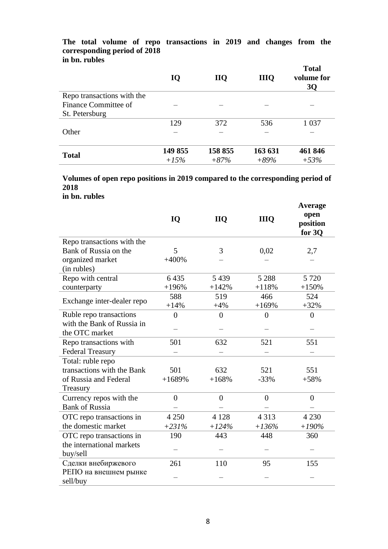### **The total volume of repo transactions in 2019 and changes from the corresponding period of 2018 in bn. rubles**

|                            | IQ      | <b>IIQ</b> | <b>IIIQ</b> | <b>Total</b><br>volume for<br><b>3Q</b> |
|----------------------------|---------|------------|-------------|-----------------------------------------|
| Repo transactions with the |         |            |             |                                         |
| Finance Committee of       |         |            |             |                                         |
| St. Petersburg             |         |            |             |                                         |
|                            | 129     | 372        | 536         | 1 0 3 7                                 |
| Other                      |         |            |             |                                         |
| <b>Total</b>               | 149 855 | 158 855    | 163 631     | 461 846                                 |
|                            | $+15%$  | $+87%$     | $+89%$      | $+53%$                                  |

**Volumes of open repo positions in 2019 compared to the corresponding period of 2018**

**in bn. rubles**

|                            | IQ             | <b>IIQ</b>     | <b>IIIQ</b>    | Average<br>open<br>position<br>for 3Q |
|----------------------------|----------------|----------------|----------------|---------------------------------------|
| Repo transactions with the |                |                |                |                                       |
| Bank of Russia on the      | 5              | 3              | 0,02           | 2,7                                   |
| organized market           | $+400%$        |                |                |                                       |
| (in rubles)                |                |                |                |                                       |
| Repo with central          | 6435           | 5439           | 5 2 8 8        | 5 7 2 0                               |
| counterparty               | $+196%$        | $+142%$        | $+118%$        | $+150%$                               |
| Exchange inter-dealer repo | 588            | 519            | 466            | 524                                   |
|                            | $+14%$         | $+4%$          | $+169%$        | $+32%$                                |
| Ruble repo transactions    | $\overline{0}$ | $\overline{0}$ | $\overline{0}$ | $\overline{0}$                        |
| with the Bank of Russia in |                |                |                |                                       |
| the OTC market             |                |                |                |                                       |
| Repo transactions with     | 501            | 632            | 521            | 551                                   |
| <b>Federal Treasury</b>    |                |                |                |                                       |
| Total: ruble repo          |                |                |                |                                       |
| transactions with the Bank | 501            | 632            | 521            | 551                                   |
| of Russia and Federal      | $+1689%$       | $+168%$        | $-33%$         | $+58%$                                |
| Treasury                   |                |                |                |                                       |
| Currency repos with the    | $\overline{0}$ | $\overline{0}$ | $\overline{0}$ | $\overline{0}$                        |
| <b>Bank of Russia</b>      |                |                |                |                                       |
| OTC repo transactions in   | 4 2 5 0        | 4 1 2 8        | 4 3 1 3        | 4 2 3 0                               |
| the domestic market        | $+231%$        | $+124%$        | $+136%$        | $+190%$                               |
| OTC repo transactions in   | 190            | 443            | 448            | 360                                   |
| the international markets  |                |                |                |                                       |
| buy/sell                   |                |                |                |                                       |
| Сделки внебиржевого        | 261            | 110            | 95             | 155                                   |
| РЕПО на внешнем рынке      |                |                |                |                                       |
| sell/buy                   |                |                |                |                                       |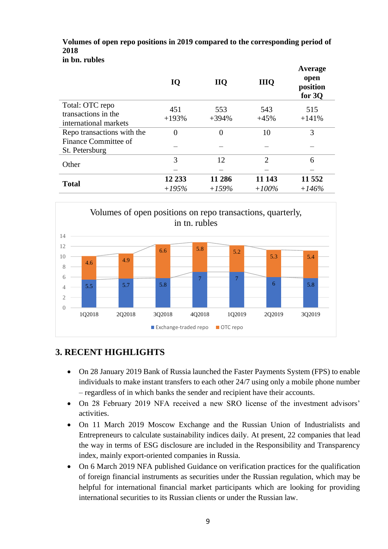#### **Volumes of open repo positions in 2019 compared to the corresponding period of 2018 in bn. rubles**

|                                              | IQ       | <b>IIQ</b>     | <b>IIIQ</b>    | Average<br>open<br>position<br>for $3Q$ |
|----------------------------------------------|----------|----------------|----------------|-----------------------------------------|
| Total: OTC repo                              | 451      | 553            | 543            | 515                                     |
| transactions in the<br>international markets | $+193%$  | $+394%$        | $+45%$         | $+141%$                                 |
| Repo transactions with the                   | $\theta$ | $\overline{0}$ | 10             | 3                                       |
| Finance Committee of<br>St. Petersburg       |          |                |                |                                         |
| Other                                        | 3        | 12             | $\overline{2}$ | 6                                       |
|                                              |          |                |                |                                         |
| <b>Total</b>                                 | 12 233   | 11 286         | 11 143         | 11 552                                  |
|                                              | $+195%$  | $+159%$        | $+100%$        | $+146%$                                 |



# **3. RECENT HIGHLIGHTS**

- On 28 January 2019 Bank of Russia launched the Faster Payments System (FPS) to enable individuals to make instant transfers to each other 24/7 using only a mobile phone number – regardless of in which banks the sender and recipient have their accounts.
- On 28 February 2019 NFA received a new SRO license of the investment advisors' activities.
- On 11 March 2019 Moscow Exchange and the Russian Union of Industrialists and Entrepreneurs to calculate sustainability indices daily. At present, 22 companies that lead the way in terms of ESG disclosure are included in the Responsibility and Transparency index, mainly export-oriented companies in Russia.
- On 6 March 2019 NFA published Guidance on verification practices for the qualification of foreign financial instruments as securities under the Russian regulation, which may be helpful for international financial market participants which are looking for providing international securities to its Russian clients or under the Russian law.